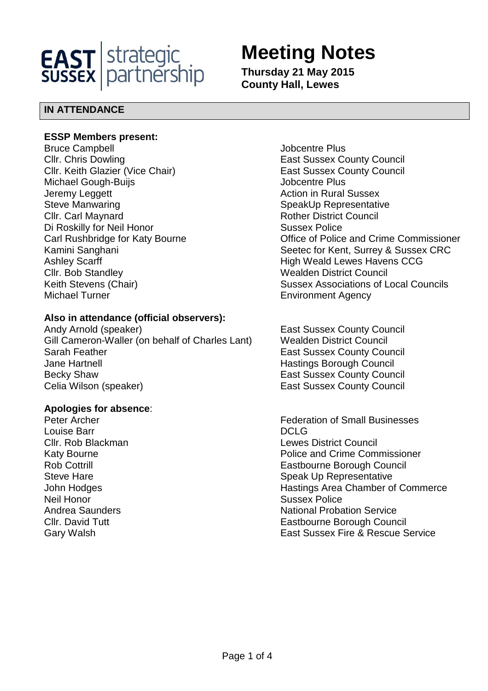

# **Meeting Notes**

**Thursday 21 May 2015 County Hall, Lewes** 

# **IN ATTENDANCE**

#### **ESSP Members present:**

Bruce Campbell **Bruce Campbell Contract Contract Contract Contract Contract Contract Contract Contract Contract Contract Contract Contract Contract Contract Contract Contract Contract Contract Contract Contract Contract Cllr. Chris Dowling Clear County Council** East Sussex County Council Cllr. Keith Glazier (Vice Chair) **East Sussex County Council** Michael Gough-Buijs **Michael Gough-Building** School and Michael Gough-Building School and Michael School and Michael School and Michael School and Michael School and Michael School and Michael School and Michael School and Jeremy Leggett **Action** in Rural Sussex Steve Manwaring Steve Manwaring Steve Manwaring Steve SpeakUp Representative **Clir. Carl Maynard Clires Council Rother District Council** Di Roskilly for Neil Honor Sussex Police Ashley Scarff **High Weald Lewes Havens CCG Cllr. Bob Standley Clife Council** Wealden District Council Michael Turner **Environment Agency** 

# **Also in attendance (official observers):**

Andy Arnold (speaker) The East Sussex County Council Gill Cameron-Waller (on behalf of Charles Lant) Wealden District Council Sarah Feather **East Sussex County Council** East Sussex County Council Jane Hartnell **Hastings Borough Council** Becky Shaw **East Sussex County Council** Celia Wilson (speaker) **East Sussex County Council** East Sussex County Council

#### **Apologies for absence**:

Louise Barr DCLG Neil Honor Sussex Police

Carl Rushbridge for Katy Bourne **Carl Rushbridge for Katy Bourne Carl Rushbridge for Katy Bourne** Kamini Sanghani **Sanghani** Seetec for Kent, Surrey & Sussex CRC Keith Stevens (Chair) Sussex Associations of Local Councils

Peter Archer Federation of Small Businesses Cllr. Rob Blackman Lewes District Council Katy Bourne Police and Crime Commissioner Rob Cottrill **Eastbourne Borough Council** Steve Hare **Steve Hare** Speak Up Representative John Hodges **Hastings Area Chamber of Commerce** Andrea Saunders **National Probation Service** Cllr. David Tutt **Eastbourne Borough Council** Gary Walsh East Sussex Fire & Rescue Service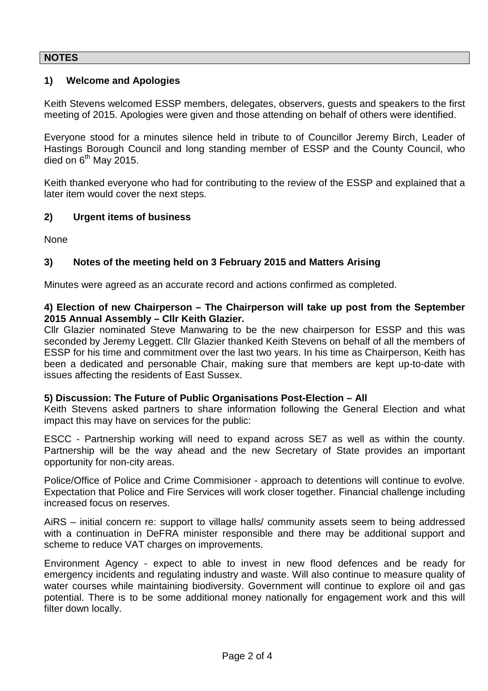## **NOTES**

### **1) Welcome and Apologies**

Keith Stevens welcomed ESSP members, delegates, observers, guests and speakers to the first meeting of 2015. Apologies were given and those attending on behalf of others were identified.

Everyone stood for a minutes silence held in tribute to of Councillor Jeremy Birch, Leader of Hastings Borough Council and long standing member of ESSP and the County Council, who died on  $6<sup>th</sup>$  May 2015.

Keith thanked everyone who had for contributing to the review of the ESSP and explained that a later item would cover the next steps.

#### **2) Urgent items of business**

None

## **3) Notes of the meeting held on 3 February 2015 and Matters Arising**

Minutes were agreed as an accurate record and actions confirmed as completed.

#### **4) Election of new Chairperson – The Chairperson will take up post from the September 2015 Annual Assembly – Cllr Keith Glazier.**

Cllr Glazier nominated Steve Manwaring to be the new chairperson for ESSP and this was seconded by Jeremy Leggett. Cllr Glazier thanked Keith Stevens on behalf of all the members of ESSP for his time and commitment over the last two years. In his time as Chairperson, Keith has been a dedicated and personable Chair, making sure that members are kept up-to-date with issues affecting the residents of East Sussex.

#### **5) Discussion: The Future of Public Organisations Post-Election – All**

Keith Stevens asked partners to share information following the General Election and what impact this may have on services for the public:

ESCC - Partnership working will need to expand across SE7 as well as within the county. Partnership will be the way ahead and the new Secretary of State provides an important opportunity for non-city areas.

Police/Office of Police and Crime Commisioner - approach to detentions will continue to evolve. Expectation that Police and Fire Services will work closer together. Financial challenge including increased focus on reserves.

AiRS – initial concern re: support to village halls/ community assets seem to being addressed with a continuation in DeFRA minister responsible and there may be additional support and scheme to reduce VAT charges on improvements.

Environment Agency - expect to able to invest in new flood defences and be ready for emergency incidents and regulating industry and waste. Will also continue to measure quality of water courses while maintaining biodiversity. Government will continue to explore oil and gas potential. There is to be some additional money nationally for engagement work and this will filter down locally.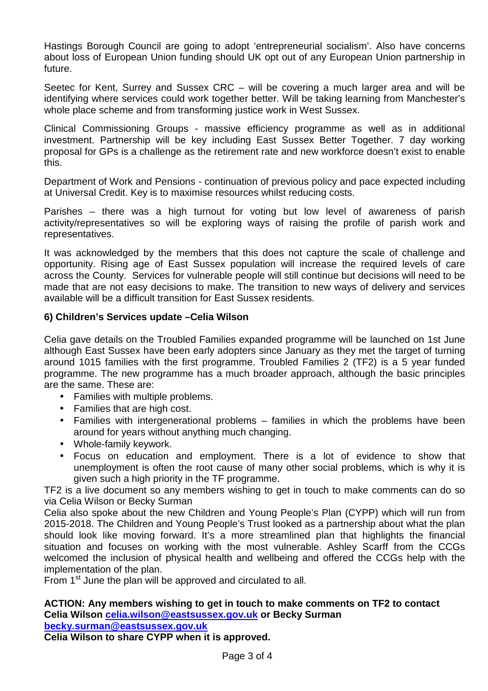Hastings Borough Council are going to adopt 'entrepreneurial socialism'. Also have concerns about loss of European Union funding should UK opt out of any European Union partnership in future.

Seetec for Kent, Surrey and Sussex CRC – will be covering a much larger area and will be identifying where services could work together better. Will be taking learning from Manchester's whole place scheme and from transforming justice work in West Sussex.

Clinical Commissioning Groups - massive efficiency programme as well as in additional investment. Partnership will be key including East Sussex Better Together. 7 day working proposal for GPs is a challenge as the retirement rate and new workforce doesn't exist to enable this.

Department of Work and Pensions - continuation of previous policy and pace expected including at Universal Credit. Key is to maximise resources whilst reducing costs.

Parishes – there was a high turnout for voting but low level of awareness of parish activity/representatives so will be exploring ways of raising the profile of parish work and representatives.

It was acknowledged by the members that this does not capture the scale of challenge and opportunity. Rising age of East Sussex population will increase the required levels of care across the County. Services for vulnerable people will still continue but decisions will need to be made that are not easy decisions to make. The transition to new ways of delivery and services available will be a difficult transition for East Sussex residents.

## **6) Children's Services update –Celia Wilson**

Celia gave details on the Troubled Families expanded programme will be launched on 1st June although East Sussex have been early adopters since January as they met the target of turning around 1015 families with the first programme. Troubled Families 2 (TF2) is a 5 year funded programme. The new programme has a much broader approach, although the basic principles are the same. These are:

- Families with multiple problems.
- Families that are high cost.
- Families with intergenerational problems families in which the problems have been around for years without anything much changing.
- Whole-family keywork.
- Focus on education and employment. There is a lot of evidence to show that unemployment is often the root cause of many other social problems, which is why it is given such a high priority in the TF programme.

TF2 is a live document so any members wishing to get in touch to make comments can do so via Celia Wilson or Becky Surman

Celia also spoke about the new Children and Young People's Plan (CYPP) which will run from 2015-2018. The Children and Young People's Trust looked as a partnership about what the plan should look like moving forward. It's a more streamlined plan that highlights the financial situation and focuses on working with the most vulnerable. Ashley Scarff from the CCGs welcomed the inclusion of physical health and wellbeing and offered the CCGs help with the implementation of the plan.

From 1<sup>st</sup> June the plan will be approved and circulated to all.

#### **ACTION: Any members wishing to get in touch to make comments on TF2 to contact Celia Wilson celia.wilson@eastsussex.gov.uk or Becky Surman becky.surman@eastsussex.gov.uk**

**Celia Wilson to share CYPP when it is approved.**